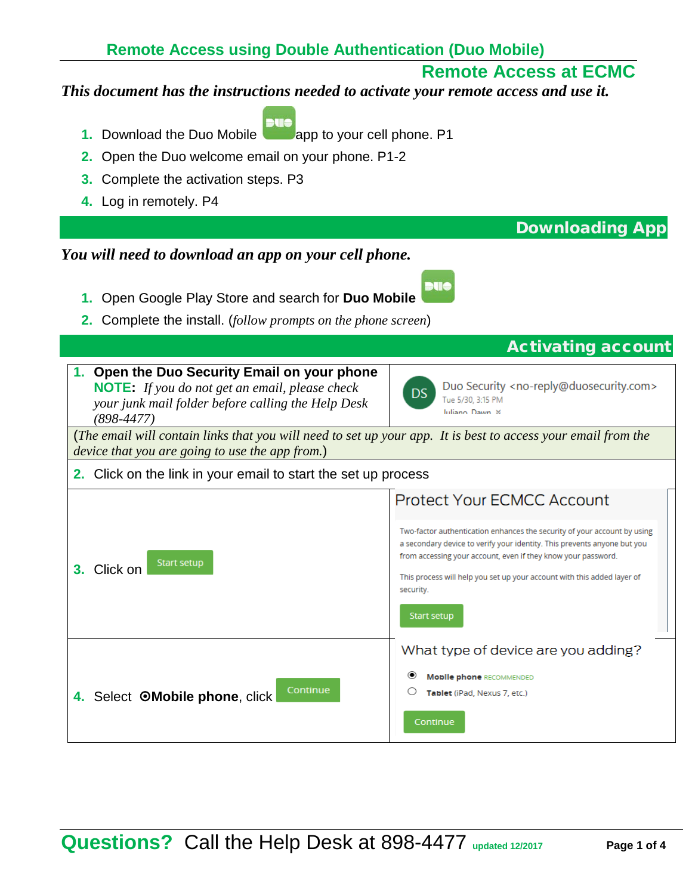### **Remote Access using Double Authentication (Duo Mobile)**

# **Remote Access at ECMC**

#### *This document has the instructions needed to activate your remote access and use it.*

- **1.** Download the Duo Mobile **a** app to your cell phone. P1
- **2.** Open the Duo welcome email on your phone. P1-2
- **3.** Complete the activation steps. P3
- **4.** Log in remotely. P4

#### *You will need to download an app on your cell phone.*

- **1.** Open Google Play Store and search for **Duo Mobile**
- **2.** Complete the install. (*follow prompts on the phone screen*)

# Activating account

Downloading App

**1. Open the Duo Security Email on your phone NOTE:** *If you do not get an email, please check your junk mail folder before calling the Help Desk (898-4477)*



Duo Security <no-reply@duosecurity.com> Tue 5/30, 3:15 PM

(*The email will contain links that you will need to set up your app. It is best to access your email from the device that you are going to use the app from.*)

#### **2.** Click on the link in your email to start the set up process

| <b>Start setup</b><br>3. Click on          | Protect Your ECMCC Account<br>Two-factor authentication enhances the security of your account by using<br>a secondary device to verify your identity. This prevents anyone but you<br>from accessing your account, even if they know your password. |  |
|--------------------------------------------|-----------------------------------------------------------------------------------------------------------------------------------------------------------------------------------------------------------------------------------------------------|--|
|                                            | This process will help you set up your account with this added layer of<br>security.<br>Start setup                                                                                                                                                 |  |
| Continue<br>4. Select OMobile phone, click | What type of device are you adding?<br>◉<br><b>Mobile phone RECOMMENDED</b><br>Tablet (iPad, Nexus 7, etc.)                                                                                                                                         |  |
|                                            | Continue                                                                                                                                                                                                                                            |  |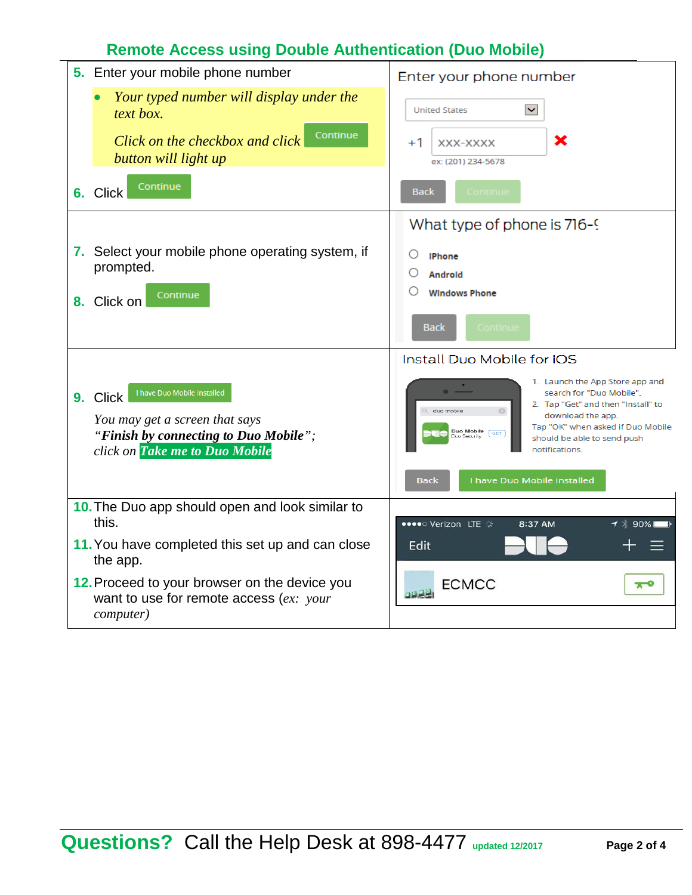# **Remote Access using Double Authentication (Duo Mobile)**

| 5. Enter your mobile phone number                                                                                                                    | Enter your phone number                                                                                                                                                                                                                             |  |  |
|------------------------------------------------------------------------------------------------------------------------------------------------------|-----------------------------------------------------------------------------------------------------------------------------------------------------------------------------------------------------------------------------------------------------|--|--|
| Your typed number will display under the<br>text box.<br>Continue<br>Click on the checkbox and click<br>button will light up                         | $\checkmark$<br><b>United States</b><br>×<br>$+1$<br>XXX-XXXX<br>ex: (201) 234-5678                                                                                                                                                                 |  |  |
| Continue<br>6. Click                                                                                                                                 | Continue<br><b>Back</b>                                                                                                                                                                                                                             |  |  |
| 7. Select your mobile phone operating system, if<br>prompted.<br>Continue<br>8. Click on                                                             | What type of phone is 716-9<br>O<br><b>IPhone</b><br><b>Androld</b><br><b>Windows Phone</b><br>Continue<br><b>Back</b>                                                                                                                              |  |  |
|                                                                                                                                                      | Install Duo Mobile for IOS                                                                                                                                                                                                                          |  |  |
| I have Duo Mobile installed<br>9. Click<br>You may get a screen that says<br>"Finish by connecting to Duo Mobile";<br>click on Take me to Duo Mobile | 1. Launch the App Store app and<br>search for "Duo Mobile".<br>2. Tap "Get" and then "Install" to<br>duo mobile<br>download the app.<br>Tap "OK" when asked if Duo Mobile<br>Duo Mobile<br>[ GET ]<br>should be able to send push<br>notifications. |  |  |
|                                                                                                                                                      | I have Duo Mobile installed<br><b>Back</b>                                                                                                                                                                                                          |  |  |
| 10. The Duo app should open and look similar to<br>this.                                                                                             | ●●●●○ Verizon LTE ※<br>8:37 AM<br>1 * 90%∣                                                                                                                                                                                                          |  |  |
| 11. You have completed this set up and can close<br>the app.                                                                                         | Edit                                                                                                                                                                                                                                                |  |  |
| 12. Proceed to your browser on the device you<br>want to use for remote access $(ex.: your$<br><i>computer</i> )                                     | <b>ECMCC</b><br>π                                                                                                                                                                                                                                   |  |  |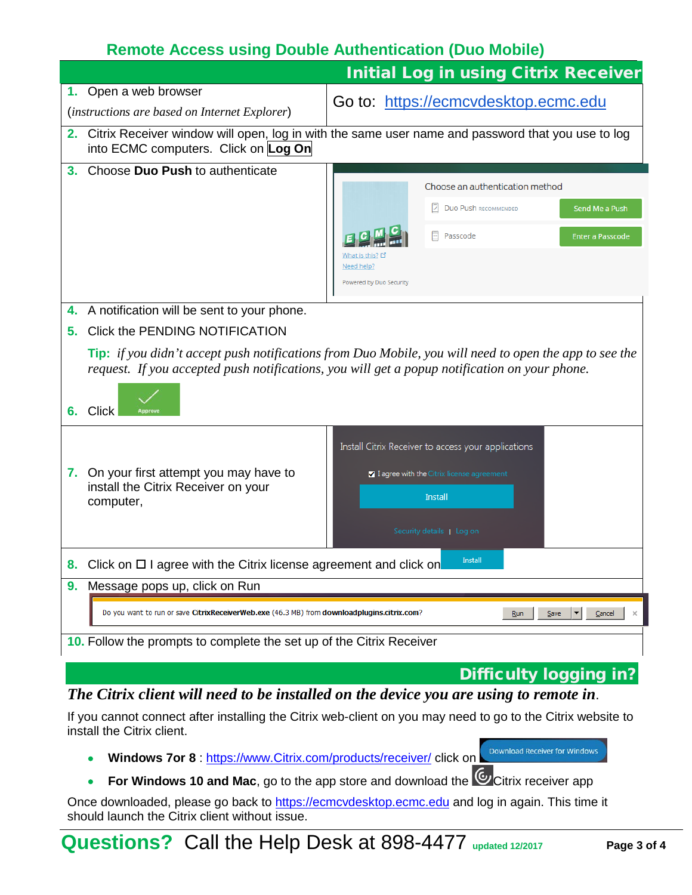# **Remote Access using Double Authentication (Duo Mobile)**

|    |                                                                                                                                                                                                                |                               |  | <b>Initial Log in using Citrix Receiver</b>         |                               |                         |
|----|----------------------------------------------------------------------------------------------------------------------------------------------------------------------------------------------------------------|-------------------------------|--|-----------------------------------------------------|-------------------------------|-------------------------|
|    | 1. Open a web browser                                                                                                                                                                                          |                               |  | Go to: https://ecmcvdesktop.ecmc.edu                |                               |                         |
|    | (instructions are based on Internet Explorer)                                                                                                                                                                  |                               |  |                                                     |                               |                         |
|    | 2. Citrix Receiver window will open, log in with the same user name and password that you use to log<br>into ECMC computers. Click on Log On                                                                   |                               |  |                                                     |                               |                         |
| 3. | Choose Duo Push to authenticate                                                                                                                                                                                |                               |  |                                                     |                               |                         |
|    |                                                                                                                                                                                                                |                               |  | Choose an authentication method                     |                               |                         |
|    |                                                                                                                                                                                                                |                               |  | <b>DUO PUSh RECOMMENDED</b>                         |                               | Send Me a Push          |
|    |                                                                                                                                                                                                                |                               |  | Passcode                                            |                               | <b>Enter a Passcode</b> |
|    |                                                                                                                                                                                                                | What is this? 다<br>Need help? |  |                                                     |                               |                         |
|    |                                                                                                                                                                                                                | Powered by Duo Security       |  |                                                     |                               |                         |
|    |                                                                                                                                                                                                                |                               |  |                                                     |                               |                         |
|    | 4. A notification will be sent to your phone.                                                                                                                                                                  |                               |  |                                                     |                               |                         |
| 5. | Click the PENDING NOTIFICATION                                                                                                                                                                                 |                               |  |                                                     |                               |                         |
|    | <b>Tip:</b> if you didn't accept push notifications from Duo Mobile, you will need to open the app to see the<br>request. If you accepted push notifications, you will get a popup notification on your phone. |                               |  |                                                     |                               |                         |
| 6. | <b>Click</b><br>Approvi                                                                                                                                                                                        |                               |  |                                                     |                               |                         |
|    |                                                                                                                                                                                                                |                               |  | Install Citrix Receiver to access your applications |                               |                         |
|    | 7. On your first attempt you may have to                                                                                                                                                                       |                               |  | I agree with the Citrix license agreement           |                               |                         |
|    | install the Citrix Receiver on your<br>computer,                                                                                                                                                               |                               |  | <b>Install</b>                                      |                               |                         |
|    |                                                                                                                                                                                                                |                               |  |                                                     |                               |                         |
|    |                                                                                                                                                                                                                |                               |  | Security details   Log on                           |                               |                         |
| 8. | Click on $\Box$ I agree with the Citrix license agreement and click on                                                                                                                                         |                               |  | Install                                             |                               |                         |
| 9. | Message pops up, click on Run                                                                                                                                                                                  |                               |  |                                                     |                               |                         |
|    | Do you want to run or save CitrixReceiverWeb.exe (46.3 MB) from downloadplugins.citrix.com?<br>Save<br>Cancel<br><u>R</u> un<br>×                                                                              |                               |  |                                                     |                               |                         |
|    | 10. Follow the prompts to complete the set up of the Citrix Receiver                                                                                                                                           |                               |  |                                                     |                               |                         |
|    |                                                                                                                                                                                                                |                               |  |                                                     | <b>Difficulty logging in?</b> |                         |
|    | The Citrix client will need to be installed on the device you are using to remote in                                                                                                                           |                               |  |                                                     |                               |                         |

#### *The Citrix client will need to be installed on the device you are using to remote in*.

If you cannot connect after installing the Citrix web-client on you may need to go to the Citrix website to install the Citrix client.

- **Windows 7or 8** : [https://www.Citrix.com/products/receiver/](https://www.citrix.com/products/receiver/) click on
- **For Windows 10 and Mac**, go to the app store and download the **C** Citrix receiver app

Once downloaded, please go back to [https://ecmcvdesktop.ecmc.edu](https://ecmcvdesktop.ecmc.edu/) and log in again. This time it should launch the Citrix client without issue.

Download Receiver for Windows